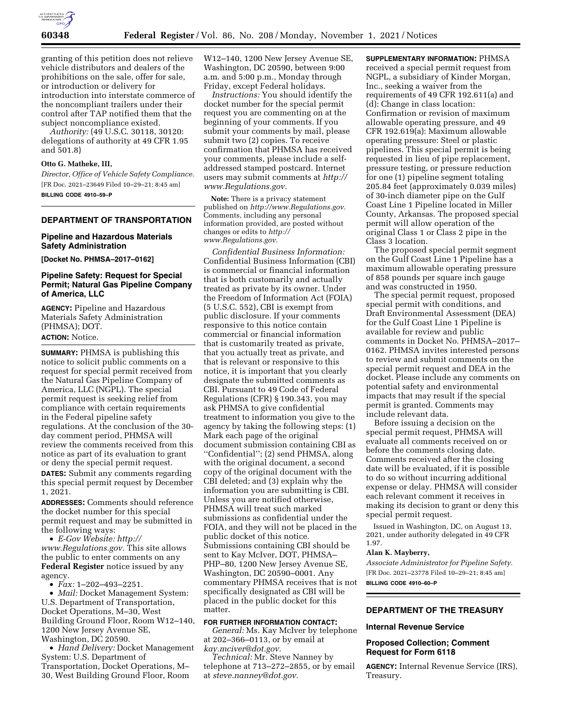

granting of this petition does not relieve vehicle distributors and dealers of the prohibitions on the sale, offer for sale, or introduction or delivery for introduction into interstate commerce of the noncompliant trailers under their control after TAP notified them that the subject noncompliance existed.

*Authority:* (49 U.S.C. 30118, 30120: delegations of authority at 49 CFR 1.95 and 501.8)

#### **Otto G. Matheke, III,**

*Director, Office of Vehicle Safety Compliance.*  [FR Doc. 2021–23649 Filed 10–29–21; 8:45 am] **BILLING CODE 4910–59–P** 

#### **DEPARTMENT OF TRANSPORTATION**

### **Pipeline and Hazardous Materials Safety Administration**

**[Docket No. PHMSA–2017–0162]** 

## **Pipeline Safety: Request for Special Permit; Natural Gas Pipeline Company of America, LLC**

**AGENCY:** Pipeline and Hazardous Materials Safety Administration (PHMSA); DOT. **ACTION:** Notice.

**SUMMARY:** PHMSA is publishing this notice to solicit public comments on a request for special permit received from the Natural Gas Pipeline Company of America, LLC (NGPL). The special permit request is seeking relief from compliance with certain requirements in the Federal pipeline safety regulations. At the conclusion of the 30 day comment period, PHMSA will review the comments received from this notice as part of its evaluation to grant or deny the special permit request. **DATES:** Submit any comments regarding this special permit request by December 1, 2021.

**ADDRESSES:** Comments should reference the docket number for this special permit request and may be submitted in the following ways:

• *E-Gov Website: [http://](http://www.Regulations.gov) [www.Regulations.gov.](http://www.Regulations.gov)* This site allows the public to enter comments on any **Federal Register** notice issued by any agency.

• *Fax:* 1–202–493–2251.

• *Mail:* Docket Management System: U.S. Department of Transportation, Docket Operations, M–30, West Building Ground Floor, Room W12–140, 1200 New Jersey Avenue SE, Washington, DC 20590.

• *Hand Delivery:* Docket Management System: U.S. Department of Transportation, Docket Operations, M– 30, West Building Ground Floor, Room

W12–140, 1200 New Jersey Avenue SE, Washington, DC 20590, between 9:00 a.m. and 5:00 p.m., Monday through Friday, except Federal holidays.

*Instructions:* You should identify the docket number for the special permit request you are commenting on at the beginning of your comments. If you submit your comments by mail, please submit two (2) copies. To receive confirmation that PHMSA has received your comments, please include a selfaddressed stamped postcard. Internet users may submit comments at *[http://](http://www.Regulations.gov) [www.Regulations.gov.](http://www.Regulations.gov)* 

**Note:** There is a privacy statement published on *[http://www.Regulations.gov.](http://www.Regulations.gov)*  Comments, including any personal information provided, are posted without changes or edits to *[http://](http://www.Regulations.gov) [www.Regulations.gov.](http://www.Regulations.gov)* 

*Confidential Business Information:*  Confidential Business Information (CBI) is commercial or financial information that is both customarily and actually treated as private by its owner. Under the Freedom of Information Act (FOIA) (5 U.S.C. 552), CBI is exempt from public disclosure. If your comments responsive to this notice contain commercial or financial information that is customarily treated as private, that you actually treat as private, and that is relevant or responsive to this notice, it is important that you clearly designate the submitted comments as CBI. Pursuant to 49 Code of Federal Regulations (CFR) § 190.343, you may ask PHMSA to give confidential treatment to information you give to the agency by taking the following steps: (1) Mark each page of the original document submission containing CBI as ''Confidential''; (2) send PHMSA, along with the original document, a second copy of the original document with the CBI deleted; and (3) explain why the information you are submitting is CBI. Unless you are notified otherwise, PHMSA will treat such marked submissions as confidential under the FOIA, and they will not be placed in the public docket of this notice. Submissions containing CBI should be sent to Kay McIver, DOT, PHMSA– PHP–80, 1200 New Jersey Avenue SE, Washington, DC 20590–0001. Any commentary PHMSA receives that is not specifically designated as CBI will be placed in the public docket for this matter.

### **FOR FURTHER INFORMATION CONTACT:**

*General:* Ms. Kay McIver by telephone at 202–366–0113, or by email at *[kay.mciver@dot.gov.](mailto:kay.mciver@dot.gov)* 

*Technical:* Mr. Steve Nanney by telephone at 713–272–2855, or by email at *[steve.nanney@dot.gov.](mailto:steve.nanney@dot.gov)* 

**SUPPLEMENTARY INFORMATION:** PHMSA received a special permit request from NGPL, a subsidiary of Kinder Morgan, Inc., seeking a waiver from the requirements of 49 CFR 192.611(a) and (d): Change in class location: Confirmation or revision of maximum allowable operating pressure, and 49 CFR 192.619(a): Maximum allowable operating pressure: Steel or plastic pipelines. This special permit is being requested in lieu of pipe replacement, pressure testing, or pressure reduction for one (1) pipeline segment totaling 205.84 feet (approximately 0.039 miles) of 30-inch diameter pipe on the Gulf Coast Line 1 Pipeline located in Miller County, Arkansas. The proposed special permit will allow operation of the original Class 1 or Class 2 pipe in the Class 3 location.

The proposed special permit segment on the Gulf Coast Line 1 Pipeline has a maximum allowable operating pressure of 858 pounds per square inch gauge and was constructed in 1950.

The special permit request, proposed special permit with conditions, and Draft Environmental Assessment (DEA) for the Gulf Coast Line 1 Pipeline is available for review and public comments in Docket No. PHMSA–2017– 0162. PHMSA invites interested persons to review and submit comments on the special permit request and DEA in the docket. Please include any comments on potential safety and environmental impacts that may result if the special permit is granted. Comments may include relevant data.

Before issuing a decision on the special permit request, PHMSA will evaluate all comments received on or before the comments closing date. Comments received after the closing date will be evaluated, if it is possible to do so without incurring additional expense or delay. PHMSA will consider each relevant comment it receives in making its decision to grant or deny this special permit request.

Issued in Washington, DC, on August 13, 2021, under authority delegated in 49 CFR 1.97.

### **Alan K. Mayberry,**

*Associate Administrator for Pipeline Safety.*  [FR Doc. 2021–23778 Filed 10–29–21; 8:45 am] **BILLING CODE 4910–60–P** 

# **DEPARTMENT OF THE TREASURY**

#### **Internal Revenue Service**

### **Proposed Collection; Comment Request for Form 6118**

**AGENCY:** Internal Revenue Service (IRS), Treasury.